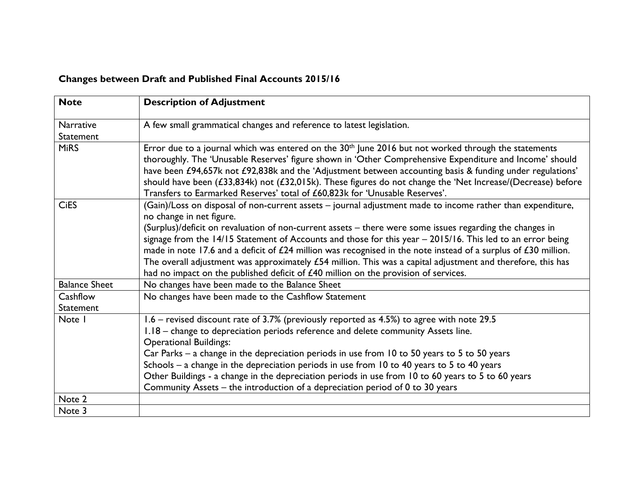## **Changes between Draft and Published Final Accounts 2015/16**

| <b>Note</b>                   | <b>Description of Adjustment</b>                                                                                                       |
|-------------------------------|----------------------------------------------------------------------------------------------------------------------------------------|
| <b>Narrative</b><br>Statement | A few small grammatical changes and reference to latest legislation.                                                                   |
|                               |                                                                                                                                        |
| <b>MiRS</b>                   | Error due to a journal which was entered on the 30 <sup>th</sup> June 2016 but not worked through the statements                       |
|                               | thoroughly. The 'Unusable Reserves' figure shown in 'Other Comprehensive Expenditure and Income' should                                |
|                               | have been £94,657k not £92,838k and the 'Adjustment between accounting basis & funding under regulations'                              |
| <b>CiES</b>                   | should have been (£33,834k) not (£32,015k). These figures do not change the 'Net Increase/(Decrease) before                            |
|                               | Transfers to Earmarked Reserves' total of £60,823k for 'Unusable Reserves'.                                                            |
|                               | (Gain)/Loss on disposal of non-current assets - journal adjustment made to income rather than expenditure,<br>no change in net figure. |
|                               | (Surplus)/deficit on revaluation of non-current assets - there were some issues regarding the changes in                               |
|                               | signage from the 14/15 Statement of Accounts and those for this year - 2015/16. This led to an error being                             |
|                               | made in note 17.6 and a deficit of $£24$ million was recognised in the note instead of a surplus of $£30$ million.                     |
|                               | The overall adjustment was approximately $£54$ million. This was a capital adjustment and therefore, this has                          |
|                               | had no impact on the published deficit of $£40$ million on the provision of services.                                                  |
| <b>Balance Sheet</b>          | No changes have been made to the Balance Sheet                                                                                         |
| Cashflow                      | No changes have been made to the Cashflow Statement                                                                                    |
| Statement                     |                                                                                                                                        |
| Note I                        | 1.6 – revised discount rate of 3.7% (previously reported as 4.5%) to agree with note 29.5                                              |
|                               | 1.18 – change to depreciation periods reference and delete community Assets line.                                                      |
|                               | <b>Operational Buildings:</b>                                                                                                          |
|                               | Car Parks – a change in the depreciation periods in use from 10 to 50 years to 5 to 50 years                                           |
|                               | Schools $-$ a change in the depreciation periods in use from 10 to 40 years to 5 to 40 years                                           |
|                               | Other Buildings - a change in the depreciation periods in use from 10 to 60 years to 5 to 60 years                                     |
|                               | Community Assets – the introduction of a depreciation period of 0 to 30 years                                                          |
| Note 2                        |                                                                                                                                        |
| Note 3                        |                                                                                                                                        |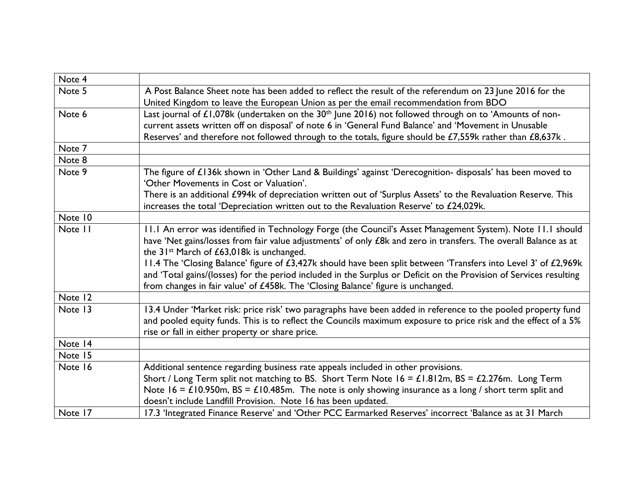| Note 4  |                                                                                                                                                                                                                                                                                                                                                                                                                                                                                                                                                                                                                     |
|---------|---------------------------------------------------------------------------------------------------------------------------------------------------------------------------------------------------------------------------------------------------------------------------------------------------------------------------------------------------------------------------------------------------------------------------------------------------------------------------------------------------------------------------------------------------------------------------------------------------------------------|
| Note 5  | A Post Balance Sheet note has been added to reflect the result of the referendum on 23 June 2016 for the<br>United Kingdom to leave the European Union as per the email recommendation from BDO                                                                                                                                                                                                                                                                                                                                                                                                                     |
| Note 6  | Last journal of £1,078k (undertaken on the $30th$ June 2016) not followed through on to 'Amounts of non-<br>current assets written off on disposal' of note 6 in 'General Fund Balance' and 'Movement in Unusable<br>Reserves' and therefore not followed through to the totals, figure should be £7,559k rather than £8,637k.                                                                                                                                                                                                                                                                                      |
| Note 7  |                                                                                                                                                                                                                                                                                                                                                                                                                                                                                                                                                                                                                     |
| Note 8  |                                                                                                                                                                                                                                                                                                                                                                                                                                                                                                                                                                                                                     |
| Note 9  | The figure of £136k shown in 'Other Land & Buildings' against 'Derecognition- disposals' has been moved to<br>'Other Movements in Cost or Valuation'.<br>There is an additional £994k of depreciation written out of 'Surplus Assets' to the Revaluation Reserve. This<br>increases the total 'Depreciation written out to the Revaluation Reserve' to £24,029k.                                                                                                                                                                                                                                                    |
| Note 10 |                                                                                                                                                                                                                                                                                                                                                                                                                                                                                                                                                                                                                     |
| Note 11 | 11.1 An error was identified in Technology Forge (the Council's Asset Management System). Note 11.1 should<br>have 'Net gains/losses from fair value adjustments' of only £8k and zero in transfers. The overall Balance as at<br>the 31 <sup>st</sup> March of £63,018k is unchanged.<br>11.4 The 'Closing Balance' figure of £3,427k should have been split between 'Transfers into Level 3' of £2,969k<br>and 'Total gains/(losses) for the period included in the Surplus or Deficit on the Provision of Services resulting<br>from changes in fair value' of £458k. The 'Closing Balance' figure is unchanged. |
| Note 12 |                                                                                                                                                                                                                                                                                                                                                                                                                                                                                                                                                                                                                     |
| Note 13 | 13.4 Under 'Market risk: price risk' two paragraphs have been added in reference to the pooled property fund<br>and pooled equity funds. This is to reflect the Councils maximum exposure to price risk and the effect of a 5%<br>rise or fall in either property or share price.                                                                                                                                                                                                                                                                                                                                   |
| Note 14 |                                                                                                                                                                                                                                                                                                                                                                                                                                                                                                                                                                                                                     |
| Note 15 |                                                                                                                                                                                                                                                                                                                                                                                                                                                                                                                                                                                                                     |
| Note 16 | Additional sentence regarding business rate appeals included in other provisions.<br>Short / Long Term split not matching to BS. Short Term Note $16 = \text{\textsterling}1.812m$ , BS = £2.276m. Long Term<br>Note 16 = £10.950m, BS = £10.485m. The note is only showing insurance as a long / short term split and<br>doesn't include Landfill Provision. Note 16 has been updated.                                                                                                                                                                                                                             |
| Note 17 | 17.3 'Integrated Finance Reserve' and 'Other PCC Earmarked Reserves' incorrect 'Balance as at 31 March                                                                                                                                                                                                                                                                                                                                                                                                                                                                                                              |